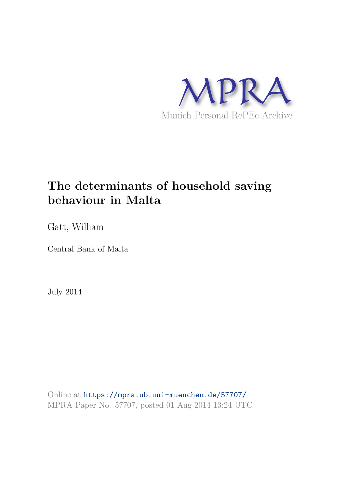

# **The determinants of household saving behaviour in Malta**

Gatt, William

Central Bank of Malta

July 2014

Online at https://mpra.ub.uni-muenchen.de/57707/ MPRA Paper No. 57707, posted 01 Aug 2014 13:24 UTC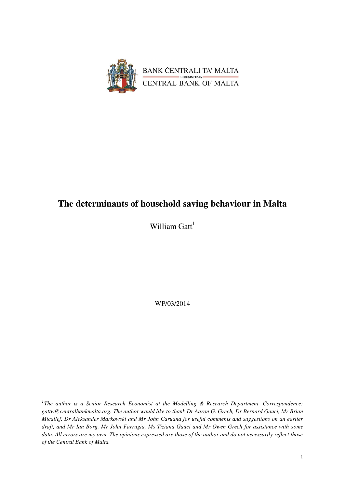

## **The determinants of household saving behaviour in Malta**

William  $\text{Gatt}^1$ 

WP/03/2014

<sup>&</sup>lt;sup>1</sup>The author is a Senior Research Economist at the Modelling & Research Department. Correspondence: *gattw@centralbankmalta.org. The author would like to thank Dr Aaron G. Grech, Dr Bernard Gauci, Mr Brian Micallef, Dr Aleksander Markowski and Mr John Caruana for useful comments and suggestions on an earlier draft, and Mr Ian Borg, Mr John Farrugia, Ms Tiziana Gauci and Mr Owen Grech for assistance with some data. All errors are my own. The opinions expressed are those of the author and do not necessarily reflect those of the Central Bank of Malta.*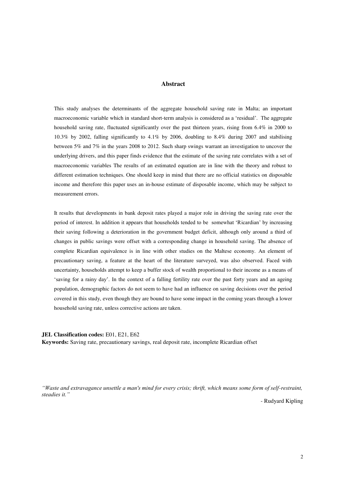#### **Abstract**

This study analyses the determinants of the aggregate household saving rate in Malta; an important macroeconomic variable which in standard short-term analysis is considered as a 'residual'. The aggregate household saving rate, fluctuated significantly over the past thirteen years, rising from 6.4% in 2000 to 10.3% by 2002, falling significantly to 4.1% by 2006, doubling to 8.4% during 2007 and stabilising between 5% and 7% in the years 2008 to 2012. Such sharp swings warrant an investigation to uncover the underlying drivers, and this paper finds evidence that the estimate of the saving rate correlates with a set of macroeconomic variables The results of an estimated equation are in line with the theory and robust to different estimation techniques. One should keep in mind that there are no official statistics on disposable income and therefore this paper uses an in-house estimate of disposable income, which may be subject to measurement errors.

It results that developments in bank deposit rates played a major role in driving the saving rate over the period of interest. In addition it appears that households tended to be somewhat 'Ricardian' by increasing their saving following a deterioration in the government budget deficit, although only around a third of changes in public savings were offset with a corresponding change in household saving. The absence of complete Ricardian equivalence is in line with other studies on the Maltese economy. An element of precautionary saving, a feature at the heart of the literature surveyed, was also observed. Faced with uncertainty, households attempt to keep a buffer stock of wealth proportional to their income as a means of 'saving for a rainy day'. In the context of a falling fertility rate over the past forty years and an ageing population, demographic factors do not seem to have had an influence on saving decisions over the period covered in this study, even though they are bound to have some impact in the coming years through a lower household saving rate, unless corrective actions are taken.

#### **JEL Classification codes:** E01, E21, E62

**Keywords:** Saving rate, precautionary savings, real deposit rate, incomplete Ricardian offset

*"Waste and extravagance unsettle a man's mind for every crisis; thrift, which means some form of self-restraint, steadies it."*

- Rudyard Kipling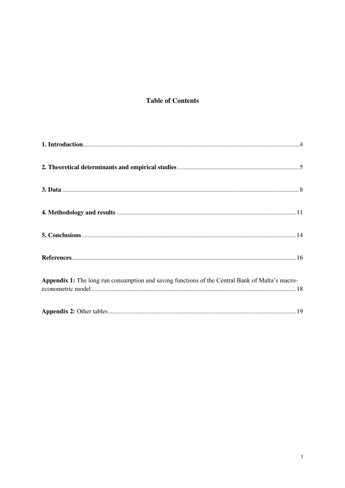## **Table of Contents**

| Appendix 1: The long run consumption and saving functions of the Central Bank of Malta's macro- |  |
|-------------------------------------------------------------------------------------------------|--|
|                                                                                                 |  |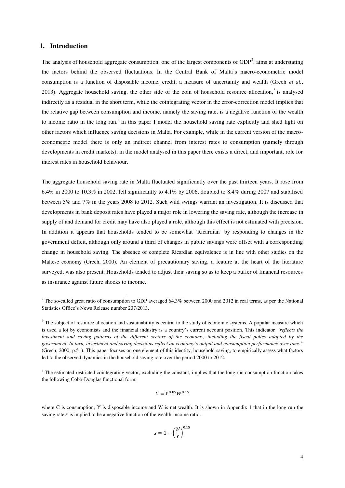## <span id="page-4-0"></span>**1. Introduction**

-

The analysis of household aggregate consumption, one of the largest components of  $GDP<sup>2</sup>$ , aims at understating the factors behind the observed fluctuations. In the Central Bank of Malta's macro-econometric model consumption is a function of disposable income, credit, a measure of uncertainty and wealth (Grech *et al.*, 2013). Aggregate household saving, the other side of the coin of household resource allocation, $3$  is analysed indirectly as a residual in the short term, while the cointegrating vector in the error-correction model implies that the relative gap between consumption and income, namely the saving rate, is a negative function of the wealth to income ratio in the long run.<sup>4</sup> In this paper I model the household saving rate explicitly and shed light on other factors which influence saving decisions in Malta. For example, while in the current version of the macroeconometric model there is only an indirect channel from interest rates to consumption (namely through developments in credit markets), in the model analysed in this paper there exists a direct, and important, role for interest rates in household behaviour.

The aggregate household saving rate in Malta fluctuated significantly over the past thirteen years. It rose from 6.4% in 2000 to 10.3% in 2002, fell significantly to 4.1% by 2006, doubled to 8.4% during 2007 and stabilised between 5% and 7% in the years 2008 to 2012. Such wild swings warrant an investigation. It is discussed that developments in bank deposit rates have played a major role in lowering the saving rate, although the increase in supply of and demand for credit may have also played a role, although this effect is not estimated with precision. In addition it appears that households tended to be somewhat 'Ricardian' by responding to changes in the government deficit, although only around a third of changes in public savings were offset with a corresponding change in household saving. The absence of complete Ricardian equivalence is in line with other studies on the Maltese economy (Grech, 2000). An element of precautionary saving, a feature at the heart of the literature surveyed, was also present. Households tended to adjust their saving so as to keep a buffer of financial resources as insurance against future shocks to income.

$$
C = Y^{0.85} W^{0.15}
$$

$$
s = 1 - \left(\frac{W}{Y}\right)^{0.15}
$$

<sup>&</sup>lt;sup>2</sup> The so-called great ratio of consumption to GDP averaged 64.3% between 2000 and 2012 in real terms, as per the National Statistics Office's News Release number 237/2013.

<sup>&</sup>lt;sup>3</sup> The subject of resource allocation and sustainability is central to the study of economic systems. A popular measure which is used a lot by economists and the financial industry is a country's current account position. This indicator *"reflects the investment and saving patterns of the different sectors of the economy, including the fiscal policy adopted by the government. In turn, investment and saving decisions reflect an economy's output and consumption performance over time."*  (Grech, 2000; p.51). This paper focuses on one element of this identity, household saving, to empirically assess what factors led to the observed dynamics in the household saving rate over the period 2000 to 2012.

<sup>&</sup>lt;sup>4</sup> The estimated restricted cointegrating vector, excluding the constant, implies that the long run consumption function takes the following Cobb-Douglas functional form:

where C is consumption, Y is disposable income and W is net wealth. It is shown in Appendix 1 that in the long run the saving rate  $s$  is implied to be a negative function of the wealth-income ratio: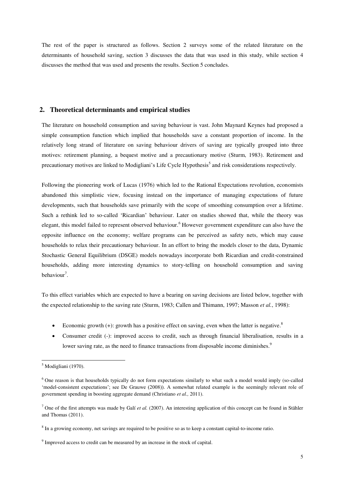The rest of the paper is structured as follows. Section 2 surveys some of the related literature on the determinants of household saving, section 3 discusses the data that was used in this study, while section 4 discusses the method that was used and presents the results. Section 5 concludes.

### <span id="page-5-0"></span>**2. Theoretical determinants and empirical studies**

The literature on household consumption and saving behaviour is vast. John Maynard Keynes had proposed a simple consumption function which implied that households save a constant proportion of income. In the relatively long strand of literature on saving behaviour drivers of saving are typically grouped into three motives: retirement planning, a bequest motive and a precautionary motive (Sturm, 1983). Retirement and precautionary motives are linked to Modigliani's Life Cycle Hypothesis<sup>5</sup> and risk considerations respectively.

Following the pioneering work of Lucas (1976) which led to the Rational Expectations revolution, economists abandoned this simplistic view, focusing instead on the importance of managing expectations of future developments, such that households save primarily with the scope of smoothing consumption over a lifetime. Such a rethink led to so-called 'Ricardian' behaviour. Later on studies showed that, while the theory was elegant, this model failed to represent observed behaviour.<sup>6</sup> However government expenditure can also have the opposite influence on the economy; welfare programs can be perceived as safety nets, which may cause households to relax their precautionary behaviour. In an effort to bring the models closer to the data, Dynamic Stochastic General Equilibrium (DSGE) models nowadays incorporate both Ricardian and credit-constrained households, adding more interesting dynamics to story-telling on household consumption and saving behaviour<sup>7</sup>.

To this effect variables which are expected to have a bearing on saving decisions are listed below, together with the expected relationship to the saving rate (Sturm, 1983; Callen and Thimann, 1997; Masson *et al.*, 1998):

- Economic growth  $(+)$ : growth has a positive effect on saving, even when the latter is negative.<sup>8</sup>
- Consumer credit (-): improved access to credit, such as through financial liberalisation, results in a lower saving rate, as the need to finance transactions from disposable income diminishes.<sup>9</sup>

<sup>5</sup> Modigliani (1970).

<sup>&</sup>lt;sup>6</sup> One reason is that households typically do not form expectations similarly to what such a model would imply (so-called 'model-consistent expectations'; see De Grauwe (2008)). A somewhat related example is the seemingly relevant role of government spending in boosting aggregate demand (Christiano *et al.,* 2011).

<sup>7</sup> One of the first attempts was made by Galí *et al.* (2007). An interesting application of this concept can be found in Stähler and Thomas (2011).

<sup>&</sup>lt;sup>8</sup> In a growing economy, net savings are required to be positive so as to keep a constant capital-to-income ratio.

<sup>&</sup>lt;sup>9</sup> Improved access to credit can be measured by an increase in the stock of capital.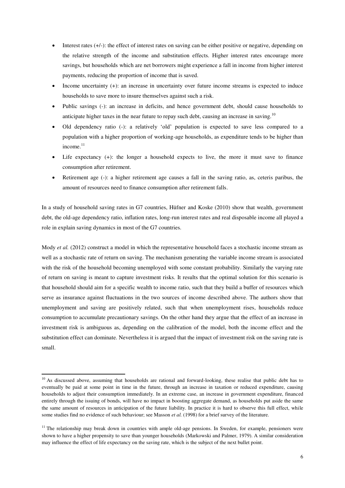- Interest rates (+/-): the effect of interest rates on saving can be either positive or negative, depending on the relative strength of the income and substitution effects. Higher interest rates encourage more savings, but households which are net borrowers might experience a fall in income from higher interest payments, reducing the proportion of income that is saved.
- Income uncertainty (+): an increase in uncertainty over future income streams is expected to induce households to save more to insure themselves against such a risk.
- Public savings (-): an increase in deficits, and hence government debt, should cause households to anticipate higher taxes in the near future to repay such debt, causing an increase in saving.<sup>10</sup>
- Old dependency ratio (-): a relatively 'old' population is expected to save less compared to a population with a higher proportion of working-age households, as expenditure tends to be higher than income.<sup>11</sup>
- Life expectancy (+): the longer a household expects to live, the more it must save to finance consumption after retirement.
- Retirement age (-): a higher retirement age causes a fall in the saving ratio, as, ceteris paribus, the amount of resources need to finance consumption after retirement falls.

In a study of household saving rates in G7 countries, Hüfner and Koske (2010) show that wealth, government debt, the old-age dependency ratio, inflation rates, long-run interest rates and real disposable income all played a role in explain saving dynamics in most of the G7 countries.

Mody *et al.* (2012) construct a model in which the representative household faces a stochastic income stream as well as a stochastic rate of return on saving. The mechanism generating the variable income stream is associated with the risk of the household becoming unemployed with some constant probability. Similarly the varying rate of return on saving is meant to capture investment risks. It results that the optimal solution for this scenario is that household should aim for a specific wealth to income ratio, such that they build a buffer of resources which serve as insurance against fluctuations in the two sources of income described above. The authors show that unemployment and saving are positively related, such that when unemployment rises, households reduce consumption to accumulate precautionary savings. On the other hand they argue that the effect of an increase in investment risk is ambiguous as, depending on the calibration of the model, both the income effect and the substitution effect can dominate. Nevertheless it is argued that the impact of investment risk on the saving rate is small.

<sup>&</sup>lt;sup>10</sup> As discussed above, assuming that households are rational and forward-looking, these realise that public debt has to eventually be paid at some point in time in the future, through an increase in taxation or reduced expenditure, causing households to adjust their consumption immediately. In an extreme case, an increase in government expenditure, financed entirely through the issuing of bonds, will have no impact in boosting aggregate demand, as households put aside the same the same amount of resources in anticipation of the future liability. In practice it is hard to observe this full effect, while some studies find no evidence of such behaviour; see Masson *et al.* (1998) for a brief survey of the literature.

 $<sup>11</sup>$  The relationship may break down in countries with ample old-age pensions. In Sweden, for example, pensioners were</sup> shown to have a higher propensity to save than younger households (Markowski and Palmer, 1979). A similar consideration may influence the effect of life expectancy on the saving rate, which is the subject of the next bullet point.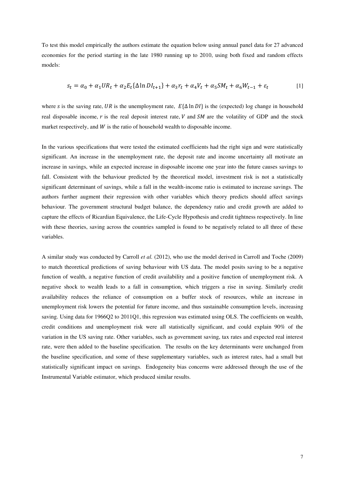To test this model empirically the authors estimate the equation below using annual panel data for 27 advanced economies for the period starting in the late 1980 running up to 2010, using both fixed and random effects models:

$$
s_t = \alpha_0 + \alpha_1 U R_t + \alpha_2 E_t \{\Delta \ln D I_{t+1}\} + \alpha_3 r_t + \alpha_4 V_t + \alpha_5 S M_t + \alpha_6 W_{t-1} + \varepsilon_t
$$
 [1]

where s is the saving rate, UR is the unemployment rate,  $E\{\Delta \ln D\}$  is the (expected) log change in household real disposable income,  $r$  is the real deposit interest rate,  $V$  and  $SM$  are the volatility of GDP and the stock market respectively, and  $W$  is the ratio of household wealth to disposable income.

In the various specifications that were tested the estimated coefficients had the right sign and were statistically significant. An increase in the unemployment rate, the deposit rate and income uncertainty all motivate an increase in savings, while an expected increase in disposable income one year into the future causes savings to fall. Consistent with the behaviour predicted by the theoretical model, investment risk is not a statistically significant determinant of savings, while a fall in the wealth-income ratio is estimated to increase savings. The authors further augment their regression with other variables which theory predicts should affect savings behaviour. The government structural budget balance, the dependency ratio and credit growth are added to capture the effects of Ricardian Equivalence, the Life-Cycle Hypothesis and credit tightness respectively. In line with these theories, saving across the countries sampled is found to be negatively related to all three of these variables.

A similar study was conducted by Carroll *et al.* (2012), who use the model derived in Carroll and Toche (2009) to match theoretical predictions of saving behaviour with US data. The model posits saving to be a negative function of wealth, a negative function of credit availability and a positive function of unemployment risk. A negative shock to wealth leads to a fall in consumption, which triggers a rise in saving. Similarly credit availability reduces the reliance of consumption on a buffer stock of resources, while an increase in unemployment risk lowers the potential for future income, and thus sustainable consumption levels, increasing saving. Using data for 1966Q2 to 2011Q1, this regression was estimated using OLS. The coefficients on wealth, credit conditions and unemployment risk were all statistically significant, and could explain 90% of the variation in the US saving rate. Other variables, such as government saving, tax rates and expected real interest rate, were then added to the baseline specification. The results on the key determinants were unchanged from the baseline specification, and some of these supplementary variables, such as interest rates, had a small but statistically significant impact on savings. Endogeneity bias concerns were addressed through the use of the Instrumental Variable estimator, which produced similar results.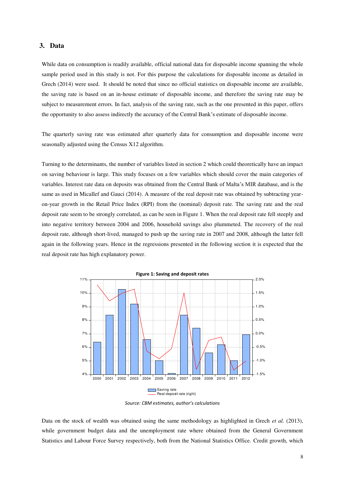## <span id="page-8-0"></span>**3. Data**

While data on consumption is readily available, official national data for disposable income spanning the whole sample period used in this study is not. For this purpose the calculations for disposable income as detailed in Grech (2014) were used. It should be noted that since no official statistics on disposable income are available, the saving rate is based on an in-house estimate of disposable income, and therefore the saving rate may be subject to measurement errors. In fact, analysis of the saving rate, such as the one presented in this paper, offers the opportunity to also assess indirectly the accuracy of the Central Bank's estimate of disposable income.

The quarterly saving rate was estimated after quarterly data for consumption and disposable income were seasonally adjusted using the Census X12 algorithm.

Turning to the determinants, the number of variables listed in section 2 which could theoretically have an impact on saving behaviour is large. This study focuses on a few variables which should cover the main categories of variables. Interest rate data on deposits was obtained from the Central Bank of Malta's MIR database, and is the same as used in Micallef and Gauci (2014). A measure of the real deposit rate was obtained by subtracting yearon-year growth in the Retail Price Index (RPI) from the (nominal) deposit rate. The saving rate and the real deposit rate seem to be strongly correlated, as can be seen in Figure 1. When the real deposit rate fell steeply and into negative territory between 2004 and 2006, household savings also plummeted. The recovery of the real deposit rate, although short-lived, managed to push up the saving rate in 2007 and 2008, although the latter fell again in the following years. Hence in the regressions presented in the following section it is expected that the real deposit rate has high explanatory power.



*Source: CBM estimates, author's calculations*

Data on the stock of wealth was obtained using the same methodology as highlighted in Grech *et al.* (2013), while government budget data and the unemployment rate where obtained from the General Government Statistics and Labour Force Survey respectively, both from the National Statistics Office. Credit growth, which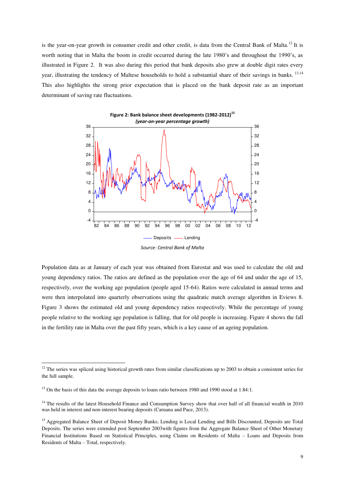is the year-on-year growth in consumer credit and other credit, is data from the Central Bank of Malta.<sup>12</sup> It is worth noting that in Malta the boom in credit occurred during the late 1980's and throughout the 1990's, as illustrated in Figure 2. It was also during this period that bank deposits also grew at double digit rates every year, illustrating the tendency of Maltese households to hold a substantial share of their savings in banks. <sup>13,14</sup> This also highlights the strong prior expectation that is placed on the bank deposit rate as an important determinant of saving rate fluctuations.



Population data as at January of each year was obtained from Eurostat and was used to calculate the old and young dependency ratios. The ratios are defined as the population over the age of 64 and under the age of 15, respectively, over the working age population (people aged 15-64). Ratios were calculated in annual terms and were then interpolated into quarterly observations using the quadratic match average algorithm in Eviews 8. Figure 3 shows the estimated old and young dependency ratios respectively. While the percentage of young

in the fertility rate in Malta over the past fifty years, which is a key cause of an ageing population.

people relative to the working age population is falling, that for old people is increasing. Figure 4 shows the fall

 $12$  The series was spliced using historical growth rates from similar classifications up to 2003 to obtain a consistent series for the full sample.

<sup>&</sup>lt;sup>13</sup> On the basis of this data the average deposits to loans ratio between 1980 and 1990 stood at 1.84:1.

<sup>&</sup>lt;sup>14</sup> The results of the latest Household Finance and Consumption Survey show that over half of all financial wealth in 2010 was held in interest and non-interest bearing deposits (Caruana and Pace, 2013).

<sup>&</sup>lt;sup>15</sup> Aggregated Balance Sheet of Deposit Money Banks; Lending is Local Lending and Bills Discounted, Deposits are Total Deposits. The series were extended post September 2003with figures from the Aggregate Balance Sheet of Other Monetary Financial Institutions Based on Statistical Principles, using Claims on Residents of Malta – Loans and Deposits from Residents of Malta – Total, respectively.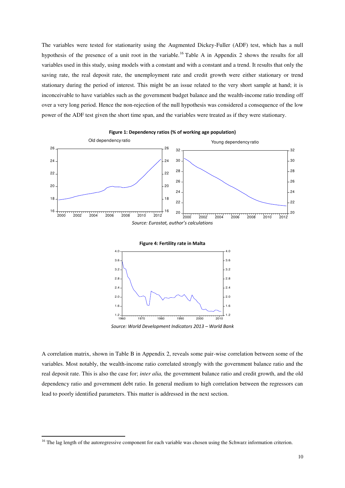The variables were tested for stationarity using the Augmented Dickey-Fuller (ADF) test, which has a null hypothesis of the presence of a unit root in the variable.<sup>16</sup> Table A in Appendix 2 shows the results for all variables used in this study, using models with a constant and with a constant and a trend. It results that only the saving rate, the real deposit rate, the unemployment rate and credit growth were either stationary or trend stationary during the period of interest. This might be an issue related to the very short sample at hand; it is inconceivable to have variables such as the government budget balance and the wealth-income ratio trending off over a very long period. Hence the non-rejection of the null hypothesis was considered a consequence of the low power of the ADF test given the short time span, and the variables were treated as if they were stationary.



**Figure 1: Dependency ratios (% of working age population)**

*Source: World Development Indicators 2013 – World Bank* 

A correlation matrix, shown in Table B in Appendix 2, reveals some pair-wise correlation between some of the variables. Most notably, the wealth-income ratio correlated strongly with the government balance ratio and the real deposit rate. This is also the case for; *inter alia,* the government balance ratio and credit growth, and the old dependency ratio and government debt ratio. In general medium to high correlation between the regressors can lead to poorly identified parameters. This matter is addressed in the next section.

<sup>&</sup>lt;sup>16</sup> The lag length of the autoregressive component for each variable was chosen using the Schwarz information criterion.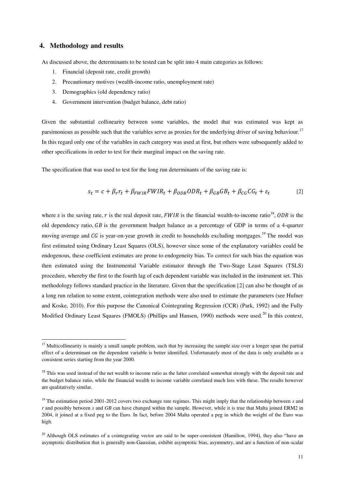## <span id="page-11-0"></span>**4. Methodology and results**

-

As discussed above, the determinants to be tested can be split into 4 main categories as follows:

- 1. Financial (deposit rate, credit growth)
- 2. Precautionary motives (wealth-income ratio, unemployment rate)
- 3. Demographics (old dependency ratio)
- 4. Government intervention (budget balance, debt ratio)

Given the substantial collinearity between some variables, the model that was estimated was kept as parsimonious as possible such that the variables serve as proxies for the underlying driver of saving behaviour.<sup>17</sup> In this regard only one of the variables in each category was used at first, but others were subsequently added to other specifications in order to test for their marginal impact on the saving rate.

The specification that was used to test for the long run determinants of the saving rate is:

$$
s_t = c + \beta_r r_t + \beta_{FWIR} F W I R_t + \beta_{ODR} O D R_t + \beta_{GB} G B_t + \beta_{CG} C G_t + \varepsilon_t
$$
\n<sup>(2)</sup>

where s is the saving rate, r is the real deposit rate, FWIR is the financial wealth-to-income ratio<sup>18</sup>, ODR is the old dependency ratio,  $GB$  is the government budget balance as a percentage of GDP in terms of a 4-quarter moving average and  $CG$  is year-on-year growth in credit to households excluding mortgages.<sup>19</sup> The model was first estimated using Ordinary Least Squares (OLS), however since some of the explanatory variables could be endogenous, these coefficient estimates are prone to endogeneity bias. To correct for such bias the equation was then estimated using the Instrumental Variable estimator through the Two-Stage Least Squares (TSLS) procedure, whereby the first to the fourth lag of each dependent variable was included in the instrument set. This methodology follows standard practice in the literature. Given that the specification [2] can also be thought of as a long run relation to some extent, cointegration methods were also used to estimate the parameters (see Hufner and Koske, 2010). For this purpose the Canonical Cointegrating Regression (CCR) (Park, 1992) and the Fully Modified Ordinary Least Squares (FMOLS) (Phillips and Hansen, 1990) methods were used.<sup>20</sup> In this context.

<sup>&</sup>lt;sup>17</sup> Multicollinearity is mainly a small sample problem, such that by increasing the sample size over a longer span the partial effect of a determinant on the dependent variable is better identified. Unfortunately most of the data is only available as a consistent series starting from the year 2000.

<sup>&</sup>lt;sup>18</sup> This was used instead of the net wealth to income ratio as the latter correlated somewhat strongly with the deposit rate and the budget balance ratio, while the financial wealth to income variable correlated much less with these. The results however are qualitatively similar.

<sup>&</sup>lt;sup>19</sup> The estimation period 2001-2012 covers two exchange rate regimes. This might imply that the relationship between *s* and *r* and possibly between *s* and *GB* can have changed within the sample. However, while it is true that Malta joined ERM2 in 2004, it joined at a fixed peg to the Euro. In fact, before 2004 Malta operated a peg in which the weight of the Euro was high.

<sup>&</sup>lt;sup>20</sup> Although OLS estimates of a cointegrating vector are said to be super-consistent (Hamilton, 1994), they also "have an asymptotic distribution that is generally non-Gaussian, exhibit asymptotic bias, asymmetry, and are a function of non-scalar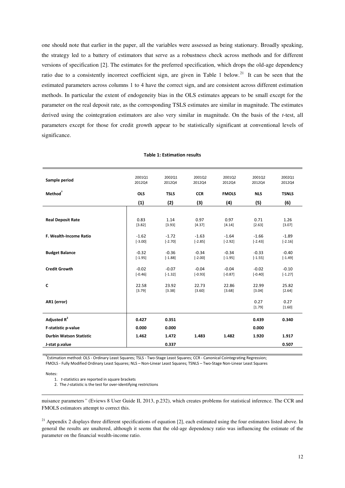one should note that earlier in the paper, all the variables were assessed as being stationary. Broadly speaking, the strategy led to a battery of estimators that serve as a robustness check across methods and for different versions of specification [2]. The estimates for the preferred specification, which drops the old-age dependency ratio due to a consistently incorrect coefficient sign, are given in Table 1 below.<sup>21</sup> It can be seen that the estimated parameters across columns 1 to 4 have the correct sign, and are consistent across different estimation methods. In particular the extent of endogeneity bias in the OLS estimates appears to be small except for the parameter on the real deposit rate, as the corresponding TSLS estimates are similar in magnitude. The estimates derived using the cointegration estimators are also very similar in magnitude. On the basis of the *t*-test, all parameters except for those for credit growth appear to be statistically significant at conventional levels of significance.

| 2012Q4               | 2002Q1<br>2012Q4     | 2001Q2<br>2012Q4     | 2001Q2<br>2012Q4     | 2001Q2<br>2012Q4     | 2002Q1<br>2012Q4     |
|----------------------|----------------------|----------------------|----------------------|----------------------|----------------------|
| <b>OLS</b>           | <b>TSLS</b>          | <b>CCR</b>           | <b>FMOLS</b>         | <b>NLS</b>           | <b>TSNLS</b>         |
| (1)                  | (2)                  | (3)                  | (4)                  | (5)                  | (6)                  |
|                      |                      |                      |                      |                      |                      |
| 0.83<br>[3.82]       | 1.14<br>[3.93]       | 0.97<br>[4.37]       | 0.97<br>[4.14]       | 0.71<br>[2.63]       | 1.26<br>[3.07]       |
| $-1.62$<br>$[-3.00]$ | $-1.72$<br>$[-2.70]$ | $-1.63$<br>$[-2.85]$ | $-1.64$<br>$[-2.92]$ | $-1.66$<br>$[-2.43]$ | $-1.89$<br>$[-2.16]$ |
| $-0.32$<br>$[-1.95]$ | $-0.36$<br>$[-1.88]$ | $-0.34$<br>$[-2.00]$ | $-0.34$<br>$[-1.95]$ | $-0.33$<br>$[-1.55]$ | $-0.40$<br>$[-1.49]$ |
| $-0.02$<br>$[-0.46]$ | $-0.07$<br>$[-1.32]$ | $-0.04$<br>$[-0.93]$ | $-0.04$<br>$[-0.87]$ | $-0.02$<br>$[-0.40]$ | $-0.10$<br>$[-1.27]$ |
| 22.58<br>[3.79]      | 23.92<br>[3.38]      | 22.73<br>[3.60]      | 22.86<br>[3.68]      | 22.99<br>[3.04]      | 25.82<br>[2.64]      |
|                      |                      |                      |                      | 0.27<br>[1.79]       | 0.27<br>$[1.60]$     |
| 0.427                | 0.351                |                      |                      | 0.439                | 0.340                |
| 0.000                | 0.000                |                      |                      | 0.000                |                      |
| 1.462                | 1.472                | 1.483                | 1.482                | 1.920                | 1.917                |
|                      | 0.337                |                      |                      |                      | 0.507                |
|                      |                      |                      |                      |                      |                      |

#### **Table 1: Estimation results**

† Estimation method: OLS - Ordinary Least Squares; TSLS - Two-Stage Least Squares; CCR - Canonical Cointegrating Regression; FMOLS - Fully Modified Ordinary Least Squares; NLS – Non-Linear Least Squares; TSNLS – Two-Stage Non-Linear Least Squares

Notes:

-

1. *t-*statistics are reported in square brackets

2. The *J*-statistic is the test for over-identifying restrictions

nuisance parameters*"* (Eviews 8 User Guide II, 2013, p.232), which creates problems for statistical inference. The CCR and FMOLS estimators attempt to correct this.

 $^{21}$  Appendix 2 displays three different specifications of equation [2], each estimated using the four estimators listed above. In general the results are unaltered, although it seems that the old-age dependency ratio was influencing the estimate of the parameter on the financial wealth-income ratio.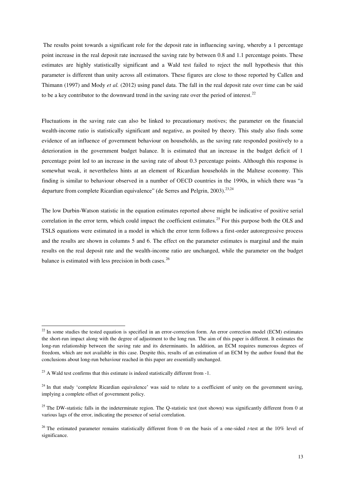The results point towards a significant role for the deposit rate in influencing saving, whereby a 1 percentage point increase in the real deposit rate increased the saving rate by between 0.8 and 1.1 percentage points. These estimates are highly statistically significant and a Wald test failed to reject the null hypothesis that this parameter is different than unity across all estimators. These figures are close to those reported by Callen and Thimann (1997) and Mody *et al.* (2012) using panel data. The fall in the real deposit rate over time can be said to be a key contributor to the downward trend in the saving rate over the period of interest.<sup>22</sup>

Fluctuations in the saving rate can also be linked to precautionary motives; the parameter on the financial wealth-income ratio is statistically significant and negative, as posited by theory. This study also finds some evidence of an influence of government behaviour on households, as the saving rate responded positively to a deterioration in the government budget balance. It is estimated that an increase in the budget deficit of 1 percentage point led to an increase in the saving rate of about 0.3 percentage points. Although this response is somewhat weak, it nevertheless hints at an element of Ricardian households in the Maltese economy. This finding is similar to behaviour observed in a number of OECD countries in the 1990s, in which there was "a departure from complete Ricardian equivalence" (de Serres and Pelgrin, 2003).<sup>23,24</sup>

The low Durbin-Watson statistic in the equation estimates reported above might be indicative of positive serial correlation in the error term, which could impact the coefficient estimates.<sup>25</sup> For this purpose both the OLS and TSLS equations were estimated in a model in which the error term follows a first-order autoregressive process and the results are shown in columns 5 and 6. The effect on the parameter estimates is marginal and the main results on the real deposit rate and the wealth-income ratio are unchanged, while the parameter on the budget balance is estimated with less precision in both cases.<sup>26</sup>

<u>.</u>

 $22$  In some studies the tested equation is specified in an error-correction form. An error correction model (ECM) estimates the short-run impact along with the degree of adjustment to the long run. The aim of this paper is different. It estimates the long-run relationship between the saving rate and its determinants. In addition, an ECM requires numerous degrees of freedom, which are not available in this case. Despite this, results of an estimation of an ECM by the author found that the conclusions about long-run behaviour reached in this paper are essentially unchanged.

 $^{23}$  A Wald test confirms that this estimate is indeed statistically different from  $-1$ .

<sup>&</sup>lt;sup>24</sup> In that study 'complete Ricardian equivalence' was said to relate to a coefficient of unity on the government saving, implying a complete offset of government policy.

<sup>&</sup>lt;sup>25</sup> The DW-statistic falls in the indeterminate region. The Q-statistic test (not shown) was significantly different from 0 at various lags of the error, indicating the presence of serial correlation.

<sup>26</sup> The estimated parameter remains statistically different from 0 on the basis of a one-sided *t*-test at the 10% level of significance.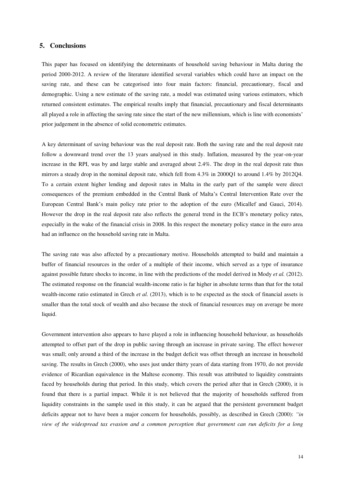## <span id="page-14-0"></span>**5. Conclusions**

This paper has focused on identifying the determinants of household saving behaviour in Malta during the period 2000-2012. A review of the literature identified several variables which could have an impact on the saving rate, and these can be categorised into four main factors: financial, precautionary, fiscal and demographic. Using a new estimate of the saving rate, a model was estimated using various estimators, which returned consistent estimates. The empirical results imply that financial, precautionary and fiscal determinants all played a role in affecting the saving rate since the start of the new millennium, which is line with economists' prior judgement in the absence of solid econometric estimates.

A key determinant of saving behaviour was the real deposit rate. Both the saving rate and the real deposit rate follow a downward trend over the 13 years analysed in this study. Inflation, measured by the year-on-year increase in the RPI, was by and large stable and averaged about 2.4%. The drop in the real deposit rate thus mirrors a steady drop in the nominal deposit rate, which fell from 4.3% in 2000Q1 to around 1.4% by 2012Q4. To a certain extent higher lending and deposit rates in Malta in the early part of the sample were direct consequences of the premium embedded in the Central Bank of Malta's Central Intervention Rate over the European Central Bank's main policy rate prior to the adoption of the euro (Micallef and Gauci, 2014). However the drop in the real deposit rate also reflects the general trend in the ECB's monetary policy rates, especially in the wake of the financial crisis in 2008. In this respect the monetary policy stance in the euro area had an influence on the household saving rate in Malta.

The saving rate was also affected by a precautionary motive. Households attempted to build and maintain a buffer of financial resources in the order of a multiple of their income, which served as a type of insurance against possible future shocks to income, in line with the predictions of the model derived in Mody *et al.* (2012). The estimated response on the financial wealth-income ratio is far higher in absolute terms than that for the total wealth-income ratio estimated in Grech *et al.* (2013), which is to be expected as the stock of financial assets is smaller than the total stock of wealth and also because the stock of financial resources may on average be more liquid.

Government intervention also appears to have played a role in influencing household behaviour, as households attempted to offset part of the drop in public saving through an increase in private saving. The effect however was small; only around a third of the increase in the budget deficit was offset through an increase in household saving. The results in Grech (2000), who uses just under thirty years of data starting from 1970, do not provide evidence of Ricardian equivalence in the Maltese economy. This result was attributed to liquidity constraints faced by households during that period. In this study, which covers the period after that in Grech (2000), it is found that there is a partial impact. While it is not believed that the majority of households suffered from liquidity constraints in the sample used in this study, it can be argued that the persistent government budget deficits appear not to have been a major concern for households, possibly, as described in Grech (2000): *"in view of the widespread tax evasion and a common perception that government can run deficits for a long*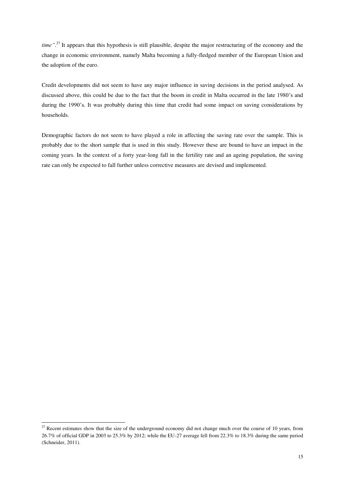time".<sup>27</sup> It appears that this hypothesis is still plausible, despite the major restructuring of the economy and the change in economic environment, namely Malta becoming a fully-fledged member of the European Union and the adoption of the euro.

Credit developments did not seem to have any major influence in saving decisions in the period analysed. As discussed above, this could be due to the fact that the boom in credit in Malta occurred in the late 1980's and during the 1990's. It was probably during this time that credit had some impact on saving considerations by households.

Demographic factors do not seem to have played a role in affecting the saving rate over the sample. This is probably due to the short sample that is used in this study. However these are bound to have an impact in the coming years. In the context of a forty year-long fall in the fertility rate and an ageing population, the saving rate can only be expected to fall further unless corrective measures are devised and implemented.

<u>.</u>

 $27$  Recent estimates show that the size of the underground economy did not change much over the course of 10 years, from 26.7% of official GDP in 2003 to 25.3% by 2012; while the EU-27 average fell from 22.3% to 18.3% during the same period (Schneider, 2011).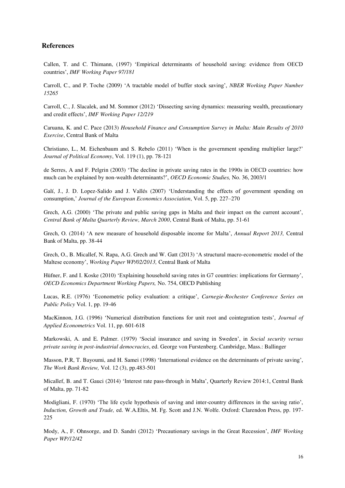## <span id="page-16-0"></span>**References**

Callen, T. and C. Thimann, (1997) 'Empirical determinants of household saving: evidence from OECD countries', *IMF Working Paper 97/181*

Carroll, C., and P. Toche (2009) 'A tractable model of buffer stock saving', *NBER Working Paper Number 15265*

Carroll, C., J. Slacalek, and M. Sommor (2012) 'Dissecting saving dynamics: measuring wealth, precautionary and credit effects', *IMF Working Paper 12/219* 

Caruana, K. and C. Pace (2013) *Household Finance and Consumption Survey in Malta: Main Results of 2010 Exercise*, Central Bank of Malta

Christiano, L., M. Eichenbaum and S. Rebelo (2011) 'When is the government spending multiplier large?' *Journal of Political Economy*, Vol. 119 (1), pp. 78-121

de Serres, A and F. Pelgrin (2003) 'The decline in private saving rates in the 1990s in OECD countries: how much can be explained by non-wealth determinants?', *OECD Economic Studies,* No. 36, 2003/1

Galí, J., J. D. Lopez-Salido and J. Vallés (2007) 'Understanding the effects of government spending on consumption,' *Journal of the European Economics Association*, Vol. 5, pp. 227–270

Grech, A.G. (2000) 'The private and public saving gaps in Malta and their impact on the current account', *Central Bank of Malta Quarterly Review, March 2000*, Central Bank of Malta, pp. 51-61

Grech, O. (2014) 'A new measure of household disposable income for Malta', *Annual Report 2013,* Central Bank of Malta, pp. 38-44

Grech, O., B. Micallef, N. Rapa, A.G. Grech and W. Gatt (2013) 'A structural macro-econometric model of the Maltese economy', *Working Paper WP/02/2013,* Central Bank of Malta

Hüfner, F. and I. Koske (2010) 'Explaining household saving rates in G7 countries: implications for Germany', *OECD Economics Department Working Papers,* No. 754, OECD Publishing

Lucas, R.E. (1976) 'Econometric policy evaluation: a critique', *Carnegie-Rochester Conference Series on Public Policy* Vol. 1, pp. 19-46

MacKinnon, J.G. (1996) 'Numerical distribution functions for unit root and cointegration tests', *Journal of Applied Econometrics* Vol. 11, pp. 601-618

Markowski, A. and E. Palmer. (1979) 'Social insurance and saving in Sweden', in *Social security versus private saving in post-industrial democracies*, ed. George von Furstenberg. Cambridge, Mass.: Ballinger

Masson, P.R, T. Bayoumi, and H. Samei (1998) 'International evidence on the determinants of private saving', *The Work Bank Review,* Vol. 12 (3), pp.483-501

Micallef, B. and T. Gauci (2014) 'Interest rate pass-through in Malta', Quarterly Review 2014:1, Central Bank of Malta, pp. 71-82

Modigliani, F. (1970) 'The life cycle hypothesis of saving and inter-country differences in the saving ratio', *Induction, Growth and Trade,* ed. W.A.Eltis, M. Fg. Scott and J.N. Wolfe. Oxford: Clarendon Press, pp. 197- 225

Mody, A., F. Ohnsorge, and D. Sandri (2012) 'Precautionary savings in the Great Recession', *IMF Working Paper WP/12/42*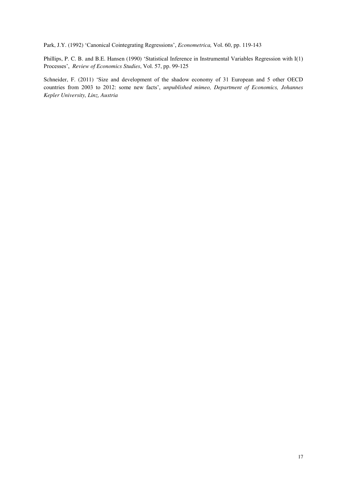Park, J.Y. (1992) 'Canonical Cointegrating Regressions', *Econometrica,* Vol. 60, pp. 119-143

Phillips, P. C. B. and B.E. Hansen (1990) 'Statistical Inference in Instrumental Variables Regression with I(1) Processes', *Review of Economics Studies*, Vol. 57, pp. 99-125

<span id="page-17-0"></span>Schneider, F. (2011) 'Size and development of the shadow economy of 31 European and 5 other OECD countries from 2003 to 2012: some new facts', *unpublished mimeo, Department of Economics, Johannes Kepler University, Linz, Austria*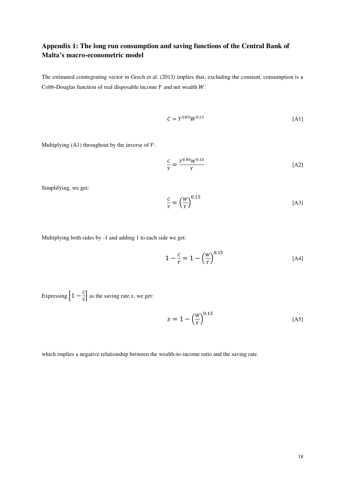## **Appendix 1: The long run consumption and saving functions of the Central Bank of Malta's macro-econometric model**

The estimated cointegrating vector in Grech et al. (2013) implies that, excluding the constant, consumption is a Cobb-Douglas function of real disposable income  $Y$  and net wealth  $W$ :

$$
C = Y^{0.85}W^{0.15}
$$
 [A1]

Multiplying  $(A1)$  throughout by the inverse of  $Y$ :

$$
\frac{c}{Y} = \frac{Y^{0.85}W^{0.15}}{Y}
$$
 [A2]

Simplifying, we get:

$$
\frac{c}{Y} = \left(\frac{W}{Y}\right)^{0.15} \tag{A3}
$$

Multiplying both sides by -1 and adding 1 to each side we get:

$$
1 - \frac{c}{\gamma} = 1 - \left(\frac{W}{\gamma}\right)^{0.15} \tag{A4}
$$

Expressing  $\left[1 - \frac{3}{y}\right]$  as the saving rate *s*, we get:

$$
s = 1 - \left(\frac{w}{Y}\right)^{0.15} \tag{A5}
$$

which implies a negative relationship between the wealth-to-income ratio and the saving rate.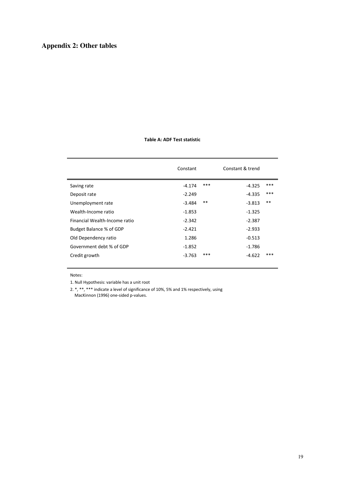## <span id="page-19-0"></span>**Appendix 2: Other tables**

### **Table A: ADF Test statistic**

|                               | Constant |      | Constant & trend |     |
|-------------------------------|----------|------|------------------|-----|
| Saving rate                   | $-4.174$ | ***  | -4.325           | *** |
| Deposit rate                  | $-2.249$ |      | $-4.335$         | *** |
| Unemployment rate             | $-3.484$ | $**$ | $-3.813$         | **  |
| Wealth-Income ratio           | $-1.853$ |      | $-1.325$         |     |
| Financial Wealth-Income ratio | $-2.342$ |      | $-2.387$         |     |
| Budget Balance % of GDP       | $-2.421$ |      | $-2.933$         |     |
| Old Dependency ratio          | 1.286    |      | $-0.513$         |     |
| Government debt % of GDP      | $-1.852$ |      | -1.786           |     |
| Credit growth                 | $-3.763$ | ***  | $-4.622$         | *** |
|                               |          |      |                  |     |

Notes:

1. Null Hypothesis: variable has a unit root

2. \*, \*\*, \*\*\* indicate a level of significance of 10%, 5% and 1% respectively, using MacKinnon (1996) one-sided p-values.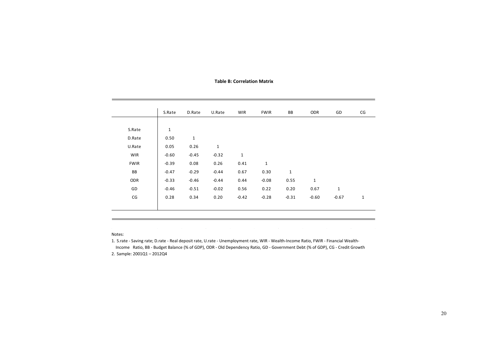#### **Table B: Correlation Matrix**

|                          | S.Rate      | D.Rate      | U.Rate      | <b>WIR</b>   | <b>FWIR</b>  | BB          | ODR         | GD          | CG           |
|--------------------------|-------------|-------------|-------------|--------------|--------------|-------------|-------------|-------------|--------------|
|                          |             |             |             |              |              |             |             |             |              |
| S.Rate                   | $\mathbf 1$ |             |             |              |              |             |             |             |              |
| D.Rate                   | 0.50        | $\mathbf 1$ |             |              |              |             |             |             |              |
| U.Rate                   | 0.05        | 0.26        | $\mathbf 1$ |              |              |             |             |             |              |
| <b>WIR</b>               | $-0.60$     | $-0.45$     | $-0.32$     | $\mathbf{1}$ |              |             |             |             |              |
| <b>FWIR</b>              | $-0.39$     | 0.08        | 0.26        | 0.41         | $\mathbf{1}$ |             |             |             |              |
| BB                       | $-0.47$     | $-0.29$     | $-0.44$     | 0.67         | 0.30         | $\mathbf 1$ |             |             |              |
| ODR                      | $-0.33$     | $-0.46$     | $-0.44$     | 0.44         | $-0.08$      | 0.55        | $\mathbf 1$ |             |              |
| GD                       | $-0.46$     | $-0.51$     | $-0.02$     | 0.56         | 0.22         | 0.20        | 0.67        | $\mathbf 1$ |              |
| $\mathsf{CG}\phantom{.}$ | 0.28        | 0.34        | 0.20        | $-0.42$      | $-0.28$      | $-0.31$     | $-0.60$     | $-0.67$     | $\mathbf{1}$ |
|                          |             |             |             |              |              |             |             |             |              |

Notes:

1. S.rate - Saving rate; D.rate - Real deposit rate, U.rate - Unemployment rate, WIR - Wealth-Income Ratio, FWIR - Financial Wealth-

Income Ratio, BB - Budget Balance (% of GDP), ODR - Old Dependency Ratio, GD - Government Debt (% of GDP), CG - Credit Growth 2. Sample: 2001Q1 – 2012Q4